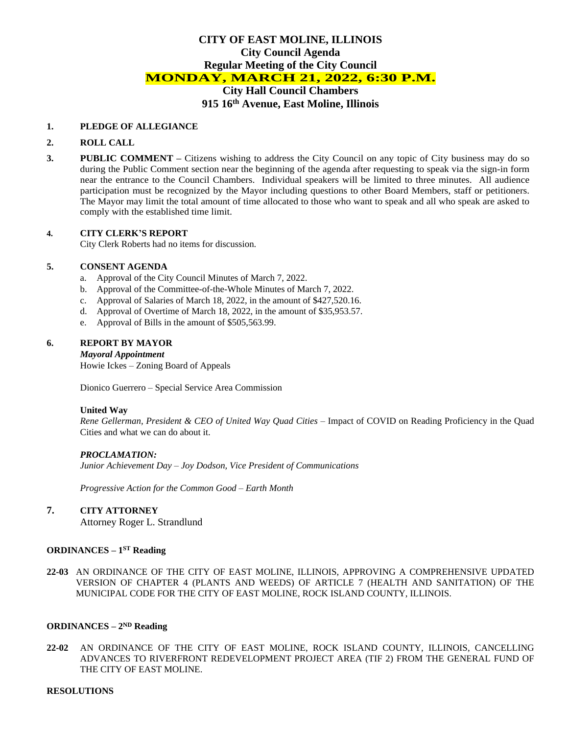# **CITY OF EAST MOLINE, ILLINOIS City Council Agenda Regular Meeting of the City Council MONDAY, MARCH 21, 2022, 6:30 P.M.**

**City Hall Council Chambers 915 16th Avenue, East Moline, Illinois**

### **1. PLEDGE OF ALLEGIANCE**

### **2. ROLL CALL**

**3. PUBLIC COMMENT –** Citizens wishing to address the City Council on any topic of City business may do so during the Public Comment section near the beginning of the agenda after requesting to speak via the sign-in form near the entrance to the Council Chambers. Individual speakers will be limited to three minutes. All audience participation must be recognized by the Mayor including questions to other Board Members, staff or petitioners. The Mayor may limit the total amount of time allocated to those who want to speak and all who speak are asked to comply with the established time limit.

### **4. CITY CLERK'S REPORT**

City Clerk Roberts had no items for discussion.

### **5. CONSENT AGENDA**

- a. Approval of the City Council Minutes of March 7, 2022.
- b. Approval of the Committee-of-the-Whole Minutes of March 7, 2022.
- c. Approval of Salaries of March 18, 2022, in the amount of \$427,520.16.
- d. Approval of Overtime of March 18, 2022, in the amount of \$35,953.57.
- e. Approval of Bills in the amount of \$505,563.99.

### **6. REPORT BY MAYOR**

*Mayoral Appointment*

Howie Ickes – Zoning Board of Appeals

Dionico Guerrero – Special Service Area Commission

#### **United Way**

*Rene Gellerman, President & CEO of United Way Quad Cities –* Impact of COVID on Reading Proficiency in the Quad Cities and what we can do about it.

### *PROCLAMATION:*

*Junior Achievement Day – Joy Dodson, Vice President of Communications*

*Progressive Action for the Common Good – Earth Month*

# **7. CITY ATTORNEY**

Attorney Roger L. Strandlund

## **ORDINANCES – 1 ST Reading**

**22-03** AN ORDINANCE OF THE CITY OF EAST MOLINE, ILLINOIS, APPROVING A COMPREHENSIVE UPDATED VERSION OF CHAPTER 4 (PLANTS AND WEEDS) OF ARTICLE 7 (HEALTH AND SANITATION) OF THE MUNICIPAL CODE FOR THE CITY OF EAST MOLINE, ROCK ISLAND COUNTY, ILLINOIS.

### **ORDINANCES** –  $2^{ND}$  **Reading**

**22-02** AN ORDINANCE OF THE CITY OF EAST MOLINE, ROCK ISLAND COUNTY, ILLINOIS, CANCELLING ADVANCES TO RIVERFRONT REDEVELOPMENT PROJECT AREA (TIF 2) FROM THE GENERAL FUND OF THE CITY OF EAST MOLINE.

#### **RESOLUTIONS**